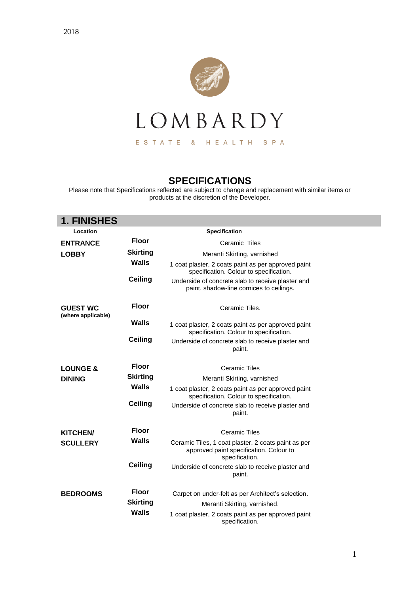

## **SPECIFICATIONS**

Please note that Specifications reflected are subject to change and replacement with similar items or products at the discretion of the Developer.

| <b>1. FINISHES</b>                    |                 |                                                                                                                  |
|---------------------------------------|-----------------|------------------------------------------------------------------------------------------------------------------|
| Location                              |                 | Specification                                                                                                    |
| <b>ENTRANCE</b>                       | <b>Floor</b>    | Ceramic Tiles                                                                                                    |
| <b>LOBBY</b>                          | <b>Skirting</b> | Meranti Skirting, varnished                                                                                      |
|                                       | <b>Walls</b>    | 1 coat plaster, 2 coats paint as per approved paint<br>specification. Colour to specification.                   |
|                                       | <b>Ceiling</b>  | Underside of concrete slab to receive plaster and<br>paint, shadow-line cornices to ceilings.                    |
| <b>GUEST WC</b><br>(where applicable) | <b>Floor</b>    | Ceramic Tiles.                                                                                                   |
|                                       | <b>Walls</b>    | 1 coat plaster, 2 coats paint as per approved paint<br>specification. Colour to specification.                   |
|                                       | <b>Ceiling</b>  | Underside of concrete slab to receive plaster and<br>paint.                                                      |
| <b>LOUNGE &amp;</b>                   | <b>Floor</b>    | Ceramic Tiles                                                                                                    |
| <b>DINING</b>                         | <b>Skirting</b> | Meranti Skirting, varnished                                                                                      |
|                                       | <b>Walls</b>    | 1 coat plaster, 2 coats paint as per approved paint<br>specification. Colour to specification.                   |
|                                       | <b>Ceiling</b>  | Underside of concrete slab to receive plaster and<br>paint.                                                      |
| <b>KITCHEN/</b>                       | <b>Floor</b>    | <b>Ceramic Tiles</b>                                                                                             |
| <b>SCULLERY</b>                       | Walls           | Ceramic Tiles, 1 coat plaster, 2 coats paint as per<br>approved paint specification. Colour to<br>specification. |
|                                       | <b>Ceiling</b>  | Underside of concrete slab to receive plaster and<br>paint.                                                      |
| <b>BEDROOMS</b>                       | <b>Floor</b>    | Carpet on under-felt as per Architect's selection.                                                               |
|                                       | <b>Skirting</b> | Meranti Skirting, varnished.                                                                                     |
|                                       | Walls           | 1 coat plaster, 2 coats paint as per approved paint<br>specification.                                            |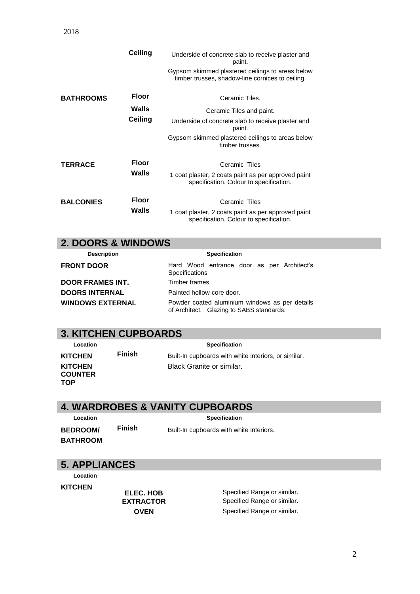|                  | Ceiling               | Underside of concrete slab to receive plaster and<br>paint.<br>Gypsom skimmed plastered ceilings to areas below<br>timber trusses, shadow-line cornices to ceiling. |
|------------------|-----------------------|---------------------------------------------------------------------------------------------------------------------------------------------------------------------|
| <b>BATHROOMS</b> | <b>Floor</b><br>Walls | Ceramic Tiles.<br>Ceramic Tiles and paint.                                                                                                                          |
|                  | <b>Ceiling</b>        | Underside of concrete slab to receive plaster and<br>paint.                                                                                                         |
|                  |                       | Gypsom skimmed plastered ceilings to areas below<br>timber trusses.                                                                                                 |
| <b>TERRACE</b>   | <b>Floor</b><br>Walls | Ceramic Tiles<br>1 coat plaster, 2 coats paint as per approved paint<br>specification. Colour to specification.                                                     |
| <b>BALCONIES</b> | <b>Floor</b><br>Walls | Ceramic Tiles<br>1 coat plaster, 2 coats paint as per approved paint<br>specification. Colour to specification.                                                     |

#### **2. DOORS & WINDOWS**

| <b>Description</b>      | <b>Specification</b>                                                                       |
|-------------------------|--------------------------------------------------------------------------------------------|
| <b>FRONT DOOR</b>       | Hard Wood entrance door as per Architect's<br><b>Specifications</b>                        |
| <b>DOOR FRAMES INT.</b> | Timber frames.                                                                             |
| <b>DOORS INTERNAL</b>   | Painted hollow-core door.                                                                  |
| <b>WINDOWS EXTERNAL</b> | Powder coated aluminium windows as per details<br>of Architect. Glazing to SABS standards. |

# **3. KITCHEN CUPBOARDS**

| Location       |    |
|----------------|----|
| KITCHEN        | Fi |
| KITCHEN        |    |
| <b>COUNTER</b> |    |
| TOP            |    |

 **Location Specification** 

| KITCHEN                    | <b>Finish</b> | Built-In cupboards with white interiors, or similar. |
|----------------------------|---------------|------------------------------------------------------|
| KITCHEN<br><b>COLINTER</b> |               | Black Granite or similar.                            |

### **4. WARDROBES & VANITY CUPBOARDS**

**BEDROOM/ BATHROOM**

**Location CONSERVING SPECIFICATION Finish** Built-In cupboards with white interiors.

#### **5. APPLIANCES**

 **Location** 

**KITCHEN**

**ELEC. HOB** Specified Range or similar. **EXTRACTOR** Specified Range or similar. **OVEN** Specified Range or similar.